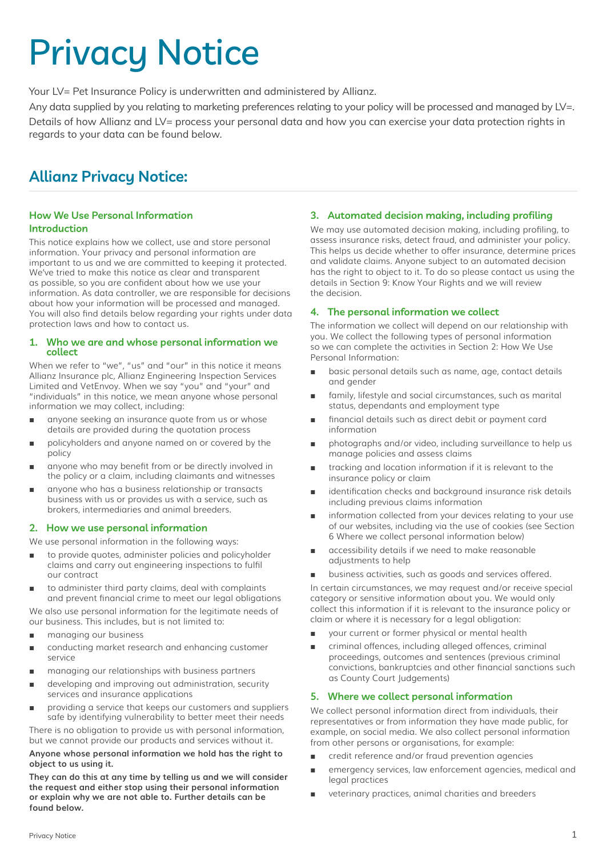# Privacy Notice

Your LV= Pet Insurance Policy is underwritten and administered by Allianz.

Any data supplied by you relating to marketing preferences relating to your policy will be processed and managed by LV=. Details of how Allianz and LV= process your personal data and how you can exercise your data protection rights in regards to your data can be found below.

## **Allianz Privacy Notice:**

#### **How We Use Personal Information Introduction**

This notice explains how we collect, use and store personal information. Your privacy and personal information are important to us and we are committed to keeping it protected. We've tried to make this notice as clear and transparent as possible, so you are confident about how we use your information. As data controller, we are responsible for decisions about how your information will be processed and managed. You will also find details below regarding your rights under data protection laws and how to contact us.

#### **1. Who we are and whose personal information we collect**

When we refer to "we", "us" and "our" in this notice it means Allianz Insurance plc, Allianz Engineering Inspection Services Limited and VetEnvoy. When we say "you" and "your" and "individuals" in this notice, we mean anyone whose personal information we may collect, including:

- anyone seeking an insurance quote from us or whose details are provided during the quotation process
- policyholders and anyone named on or covered by the policy
- anyone who may benefit from or be directly involved in the policy or a claim, including claimants and witnesses
- anyone who has a business relationship or transacts business with us or provides us with a service, such as brokers, intermediaries and animal breeders.

#### **2. How we use personal information**

We use personal information in the following ways:

- to provide quotes, administer policies and policyholder claims and carry out engineering inspections to fulfil our contract
- to administer third party claims, deal with complaints and prevent financial crime to meet our legal obligations We also use personal information for the legitimate needs of our business. This includes, but is not limited to:
- managing our business
- conducting market research and enhancing customer service
- managing our relationships with business partners
- developing and improving out administration, security services and insurance applications
- providing a service that keeps our customers and suppliers safe by identifying vulnerability to better meet their needs

There is no obligation to provide us with personal information, but we cannot provide our products and services without it.

**Anyone whose personal information we hold has the right to object to us using it.**

**They can do this at any time by telling us and we will consider the request and either stop using their personal information or explain why we are not able to. Further details can be found below.**

#### **3. Automated decision making, including profiling**

We may use automated decision making, including profiling, to assess insurance risks, detect fraud, and administer your policy. This helps us decide whether to offer insurance, determine prices and validate claims. Anyone subject to an automated decision has the right to object to it. To do so please contact us using the details in Section 9: Know Your Rights and we will review the decision.

#### **4. The personal information we collect**

The information we collect will depend on our relationship with you. We collect the following types of personal information so we can complete the activities in Section 2: How We Use Personal Information:

- basic personal details such as name, age, contact details and gender
- family, lifestyle and social circumstances, such as marital status, dependants and employment type
- financial details such as direct debit or payment card information
- photographs and/or video, including surveillance to help us manage policies and assess claims
- tracking and location information if it is relevant to the insurance policy or claim
- identification checks and background insurance risk details including previous claims information
- information collected from your devices relating to your use of our websites, including via the use of cookies (see Section 6 Where we collect personal information below)
- accessibility details if we need to make reasonable adjustments to help
- business activities, such as goods and services offered.

In certain circumstances, we may request and/or receive special category or sensitive information about you. We would only collect this information if it is relevant to the insurance policy or claim or where it is necessary for a legal obligation:

- your current or former physical or mental health
- criminal offences, including alleged offences, criminal proceedings, outcomes and sentences (previous criminal convictions, bankruptcies and other financial sanctions such as County Court Judgements)

#### **5. Where we collect personal information**

We collect personal information direct from individuals, their representatives or from information they have made public, for example, on social media. We also collect personal information from other persons or organisations, for example:

- credit reference and/or fraud prevention agencies
- emergency services, law enforcement agencies, medical and legal practices
- veterinary practices, animal charities and breeders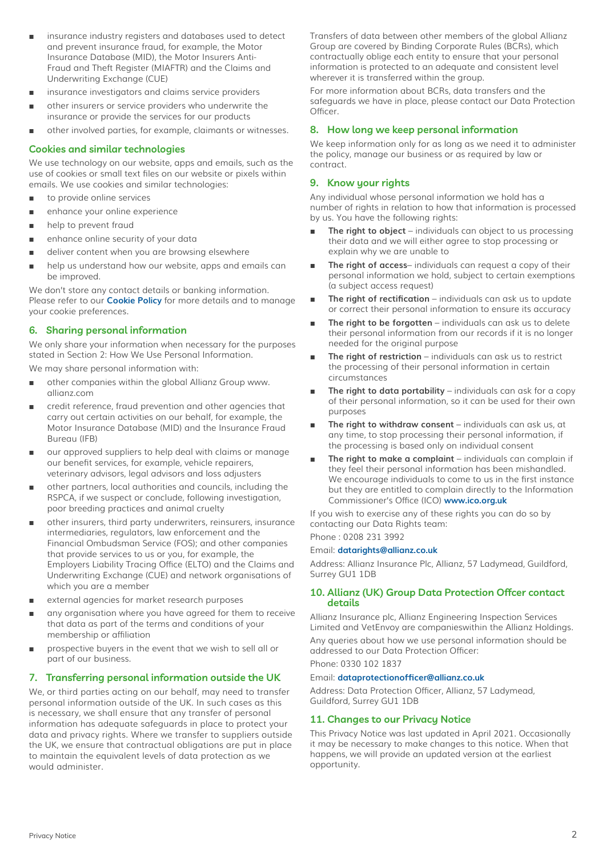- insurance industry registers and databases used to detect and prevent insurance fraud, for example, the Motor Insurance Database (MID), the Motor Insurers Anti-Fraud and Theft Register (MIAFTR) and the Claims and Underwriting Exchange (CUE)
- insurance investigators and claims service providers
- other insurers or service providers who underwrite the insurance or provide the services for our products
- other involved parties, for example, claimants or witnesses.

#### **Cookies and similar technologies**

We use technology on our website, apps and emails, such as the use of cookies or small text files on our website or pixels within emails. We use cookies and similar technologies:

- to provide online services
- enhance your online experience
- help to prevent fraud
- enhance online security of your data
- deliver content when you are browsing elsewhere
- help us understand how our website, apps and emails can be improved.

We don't store any contact details or banking information. Please refer to our **[Cookie Policy](https://www.lv.com/insurance/terms/cookie-policy)** for more details and to manage your cookie preferences.

#### **6. Sharing personal information**

We only share your information when necessary for the purposes stated in Section 2: How We Use Personal Information.

We may share personal information with:

- other companies within the global Allianz Group www. allianz.com
- credit reference, fraud prevention and other agencies that carry out certain activities on our behalf, for example, the Motor Insurance Database (MID) and the Insurance Fraud Bureau (IFB)
- our approved suppliers to help deal with claims or manage our benefit services, for example, vehicle repairers, veterinary advisors, legal advisors and loss adjusters
- other partners, local authorities and councils, including the RSPCA, if we suspect or conclude, following investigation, poor breeding practices and animal cruelty
- other insurers, third party underwriters, reinsurers, insurance intermediaries, regulators, law enforcement and the Financial Ombudsman Service (FOS); and other companies that provide services to us or you, for example, the Employers Liability Tracing Office (ELTO) and the Claims and Underwriting Exchange (CUE) and network organisations of which you are a member
- external agencies for market research purposes
- any organisation where you have agreed for them to receive that data as part of the terms and conditions of your membership or affiliation
- prospective buyers in the event that we wish to sell all or part of our business.

#### **7. Transferring personal information outside the UK**

We, or third parties acting on our behalf, may need to transfer personal information outside of the UK. In such cases as this is necessary, we shall ensure that any transfer of personal information has adequate safeguards in place to protect your data and privacy rights. Where we transfer to suppliers outside the UK, we ensure that contractual obligations are put in place to maintain the equivalent levels of data protection as we would administer.

Transfers of data between other members of the global Allianz Group are covered by Binding Corporate Rules (BCRs), which contractually oblige each entity to ensure that your personal information is protected to an adequate and consistent level wherever it is transferred within the group.

For more information about BCRs, data transfers and the safeguards we have in place, please contact our Data Protection Officer.

#### **8. How long we keep personal information**

We keep information only for as long as we need it to administer the policy, manage our business or as required by law or contract.

#### **9. Know your rights**

Any individual whose personal information we hold has a number of rights in relation to how that information is processed by us. You have the following rights:

- **The right to object** individuals can object to us processing their data and we will either agree to stop processing or explain why we are unable to
- The right of access-individuals can request a copy of their personal information we hold, subject to certain exemptions (a subject access request)
- The right of rectification individuals can ask us to update or correct their personal information to ensure its accuracy
- **The right to be forgotten** individuals can ask us to delete their personal information from our records if it is no longer needed for the original purpose
- The right of restriction individuals can ask us to restrict the processing of their personal information in certain circumstances
- The right to data portability individuals can ask for a copy of their personal information, so it can be used for their own purposes
- **The right to withdraw consent** individuals can ask us, at any time, to stop processing their personal information, if the processing is based only on individual consent
- The right to make a complaint individuals can complain if they feel their personal information has been mishandled. We encourage individuals to come to us in the first instance but they are entitled to complain directly to the Information Commissioner's Office (ICO) **[www.ico.org.uk](http://www.ico.org.uk)**

If you wish to exercise any of these rights you can do so by contacting our Data Rights team:

### Phone : 0208 231 3992

Email: **[datarights@allianz.co.uk](mailto:datarights%40allianz.co.uk?subject=)**

Address: Allianz Insurance Plc, Allianz, 57 Ladymead, Guildford, Surrey GU1 1DB

#### **10. Allianz (UK) Group Data Protection Officer contact details**

Allianz Insurance plc, Allianz Engineering Inspection Services Limited and VetEnvoy are companieswithin the Allianz Holdings. Any queries about how we use personal information should be addressed to our Data Protection Officer:

Phone: 0330 102 1837

#### Email: **[dataprotectionofficer@allianz.co.uk](mailto:dataprotectionofficer%40allianz.co.uk?subject=)**

Address: Data Protection Officer, Allianz, 57 Ladymead, Guildford, Surrey GU1 1DB

#### **11. Changes to our Privacy Notice**

This Privacy Notice was last updated in April 2021. Occasionally it may be necessary to make changes to this notice. When that happens, we will provide an updated version at the earliest opportunity.